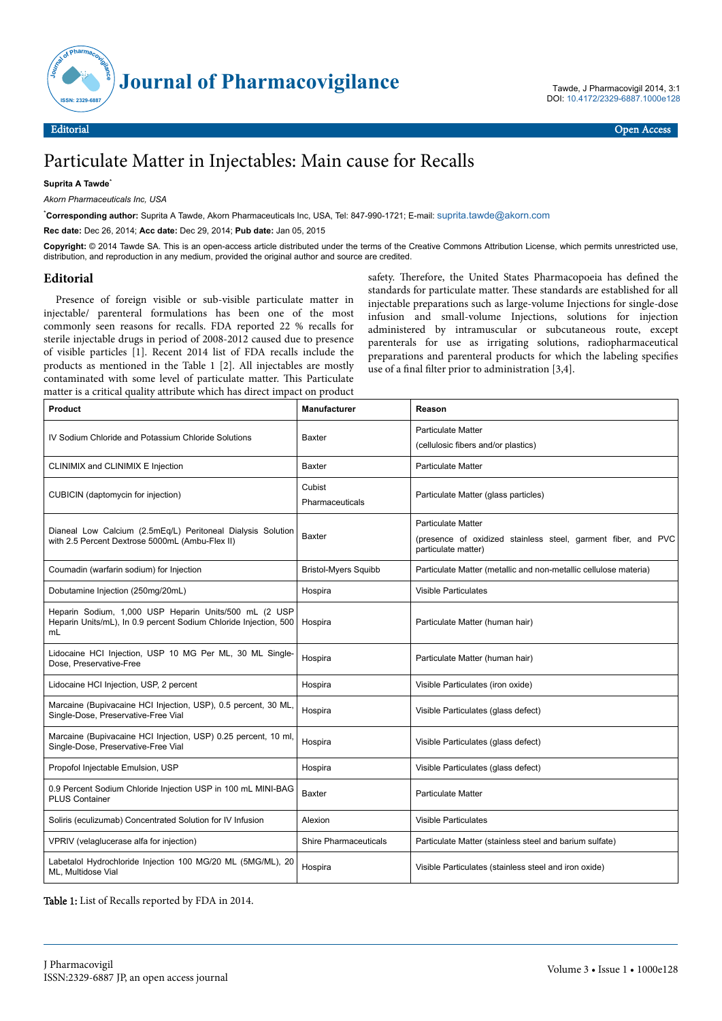

# Particulate Matter in Injectables: Main cause for Recalls

### **Suprita A Tawde**\*

*Akorn Pharmaceuticals Inc, USA*

\***Corresponding author:** Suprita A Tawde, Akorn Pharmaceuticals Inc, USA, Tel: 847-990-1721; E-mail: [suprita.tawde@akorn.com](mailto:suprita.tawde@akorn.com)

**Rec date:** Dec 26, 2014; **Acc date:** Dec 29, 2014; **Pub date:** Jan 05, 2015

**Copyright:** © 2014 Tawde SA. This is an open-access article distributed under the terms of the Creative Commons Attribution License, which permits unrestricted use, distribution, and reproduction in any medium, provided the original author and source are credited.

## **Editorial**

Presence of foreign visible or sub-visible particulate matter in injectable/ parenteral formulations has been one of the most commonly seen reasons for recalls. FDA reported 22 % recalls for sterile injectable drugs in period of 2008-2012 caused due to presence of visible particles [1]. Recent 2014 list of FDA recalls include the products as mentioned in the Table 1 [2]. All injectables are mostly contaminated with some level of particulate matter. This Particulate matter is a critical quality attribute which has direct impact on product

safety. Therefore, the United States Pharmacopoeia has defined the standards for particulate matter. Нese standards are established for all injectable preparations such as large-volume Injections for single-dose infusion and small-volume Injections, solutions for injection administered by intramuscular or subcutaneous route, except parenterals for use as irrigating solutions, radiopharmaceutical preparations and parenteral products for which the labeling specifies use of a final filter prior to administration  $[3,4]$ .

| <b>Product</b>                                                                                                                  | <b>Manufacturer</b>          | Reason                                                                                                            |
|---------------------------------------------------------------------------------------------------------------------------------|------------------------------|-------------------------------------------------------------------------------------------------------------------|
| IV Sodium Chloride and Potassium Chloride Solutions                                                                             | Baxter                       | <b>Particulate Matter</b><br>(cellulosic fibers and/or plastics)                                                  |
| CLINIMIX and CLINIMIX E Injection                                                                                               | <b>Baxter</b>                | <b>Particulate Matter</b>                                                                                         |
| CUBICIN (daptomycin for injection)                                                                                              | Cubist<br>Pharmaceuticals    | Particulate Matter (glass particles)                                                                              |
| Dianeal Low Calcium (2.5mEq/L) Peritoneal Dialysis Solution<br>with 2.5 Percent Dextrose 5000mL (Ambu-Flex II)                  | <b>Baxter</b>                | <b>Particulate Matter</b><br>(presence of oxidized stainless steel, garment fiber, and PVC<br>particulate matter) |
| Coumadin (warfarin sodium) for Injection                                                                                        | <b>Bristol-Myers Squibb</b>  | Particulate Matter (metallic and non-metallic cellulose materia)                                                  |
| Dobutamine Injection (250mg/20mL)                                                                                               | Hospira                      | <b>Visible Particulates</b>                                                                                       |
| Heparin Sodium, 1,000 USP Heparin Units/500 mL (2 USP<br>Heparin Units/mL), In 0.9 percent Sodium Chloride Injection, 500<br>mL | Hospira                      | Particulate Matter (human hair)                                                                                   |
| Lidocaine HCI Injection, USP 10 MG Per ML, 30 ML Single-<br>Dose, Preservative-Free                                             | Hospira                      | Particulate Matter (human hair)                                                                                   |
| Lidocaine HCI Injection, USP, 2 percent                                                                                         | Hospira                      | Visible Particulates (iron oxide)                                                                                 |
| Marcaine (Bupivacaine HCI Injection, USP), 0.5 percent, 30 ML,<br>Single-Dose, Preservative-Free Vial                           | Hospira                      | Visible Particulates (glass defect)                                                                               |
| Marcaine (Bupivacaine HCI Injection, USP) 0.25 percent, 10 ml,<br>Single-Dose, Preservative-Free Vial                           | Hospira                      | Visible Particulates (glass defect)                                                                               |
| Propofol Injectable Emulsion, USP                                                                                               | Hospira                      | Visible Particulates (glass defect)                                                                               |
| 0.9 Percent Sodium Chloride Injection USP in 100 mL MINI-BAG<br><b>PLUS Container</b>                                           | <b>Baxter</b>                | <b>Particulate Matter</b>                                                                                         |
| Soliris (eculizumab) Concentrated Solution for IV Infusion                                                                      | Alexion                      | <b>Visible Particulates</b>                                                                                       |
| VPRIV (velaglucerase alfa for injection)                                                                                        | <b>Shire Pharmaceuticals</b> | Particulate Matter (stainless steel and barium sulfate)                                                           |
| Labetalol Hydrochloride Injection 100 MG/20 ML (5MG/ML), 20<br>ML. Multidose Vial                                               | Hospira                      | Visible Particulates (stainless steel and iron oxide)                                                             |

Table 1: List of Recalls reported by FDA in 2014.